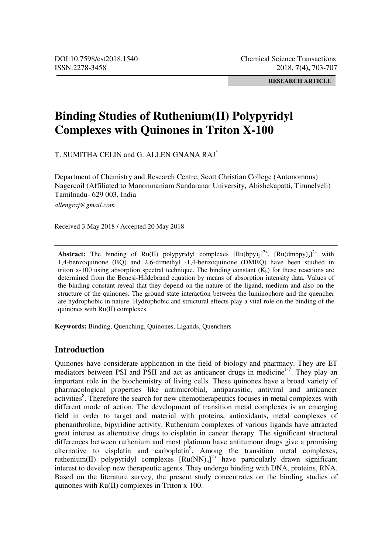**RESEARCH ARTICLE** 

# **Binding Studies of Ruthenium(II) Polypyridyl Complexes with Quinones in Triton X-100**

T. SUMITHA CELIN and G. ALLEN GNANA RAJ\*

Department of Chemistry and Research Centre, Scott Christian College (Autonomous) Nagercoil (Affiliated to Manonmaniam Sundaranar University, Abishekapatti, Tirunelveli) Tamilnadu- 629 003, India

*allengraj@gmail.com*

Received 3 May 2018 / Accepted 20 May 2018

**Abstract:** The binding of  $Ru(II)$  polypyridyl complexes  $[Ru(bpy)_3]^{2+}$ ,  $[Ru(dmbpy)_3]^{2+}$  with 1,4-benzoquinone (BQ) and 2,6-dimethyl -1,4-benzoquinone (DMBQ) have been studied in triton x-100 using absorption spectral technique. The binding constant  $(K_b)$  for these reactions are determined from the Benesi-Hildebrand equation by means of absorption intensity data. Values of the binding constant reveal that they depend on the nature of the ligand, medium and also on the structure of the quinones. The ground state interaction between the luminophore and the quencher are hydrophobic in nature. Hydrophobic and structural effects play a vital role on the binding of the quinones with Ru(II) complexes.

**Keywords:** Binding, Quenching, Quinones, Ligands, Quenchers

# **Introduction**

Quinones have considerate application in the field of biology and pharmacy. They are ET mediators between PSI and PSII and act as anticancer drugs in medicine $1 - 7$ . They play an important role in the biochemistry of living cells. These quinones have a broad variety of pharmacological properties like antimicrobial, antiparasitic, antiviral and anticancer activities<sup>8</sup>. Therefore the search for new chemotherapeutics focuses in metal complexes with different mode of action. The development of transition metal complexes is an emerging field in order to target and material with proteins, antioxidants**,** metal complexes of phenanthroline, bipyridine activity. Ruthenium complexes of various ligands have attracted great interest as alternative drugs to cisplatin in cancer therapy. The significant structural differences between ruthenium and most platinum have antitumour drugs give a promising alternative to cisplatin and carboplatin<sup>9</sup>. Among the transition metal complexes, ruthenium(II) polypyridyl complexes  $\left[\text{Ru(NN)}_{3}\right]^{2+}$  have particularly drawn significant interest to develop new therapeutic agents. They undergo binding with DNA, proteins, RNA. Based on the literature survey, the present study concentrates on the binding studies of quinones with Ru(II) complexes in Triton x-100.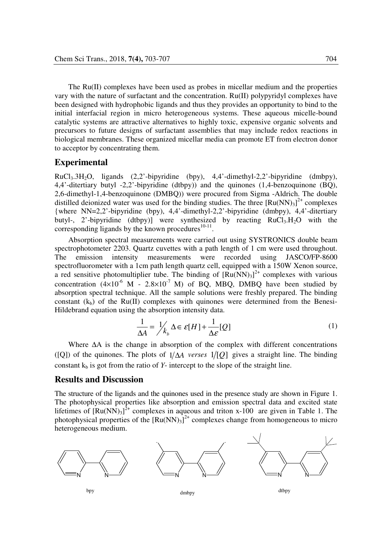The Ru(II) complexes have been used as probes in micellar medium and the properties vary with the nature of surfactant and the concentration. Ru(II) polypyridyl complexes have been designed with hydrophobic ligands and thus they provides an opportunity to bind to the initial interfacial region in micro heterogeneous systems. These aqueous micelle-bound catalytic systems are attractive alternatives to highly toxic, expensive organic solvents and precursors to future designs of surfactant assemblies that may include redox reactions in biological membranes. These organized micellar media can promote ET from electron donor to acceptor by concentrating them.

## **Experimental**

 $RuCl<sub>3</sub>,3H<sub>2</sub>O$ , ligands (2,2'-bipyridine (bpy), 4,4'-dimethyl-2,2'-bipyridine (dmbpy), 4,4'-ditertiary butyl -2,2'-bipyridine (dtbpy)) and the quinones (1,4-benzoquinone (BQ), 2,6-dimethyl-1,4-benzoquinone (DMBQ)) were procured from Sigma -Aldrich. The double distilled deionized water was used for the binding studies. The three  $[Ru(NN)_3]^{2+}$  complexes {where NN=2,2'-bipyridine (bpy), 4,4'-dimethyl-2,2'-bipyridine (dmbpy), 4,4'-ditertiary butyl-, 2'-bipyridine (dtbpy)] were synthesized by reacting  $RuCl<sub>3</sub>, H<sub>2</sub>O$  with the corresponding ligands by the known procedures $10-11$ .

 Absorption spectral measurements were carried out using SYSTRONICS double beam spectrophotometer 2203. Quartz cuvettes with a path length of 1 cm were used throughout. The emission intensity measurements were recorded using JASCO/FP-8600 spectrofluorometer with a 1cm path length quartz cell, equipped with a 150W Xenon source, a red sensitive photomultiplier tube. The binding of  $[Ru(NN)_3]^{2+}$  complexes with various concentration  $(4\times10^{-6}$  M - 2.8×10<sup>-7</sup> M) of BQ, MBQ, DMBQ have been studied by absorption spectral technique. All the sample solutions were freshly prepared. The binding constant  $(k_b)$  of the Ru(II) complexes with quinones were determined from the Benesi-Hildebrand equation using the absorption intensity data.

$$
\frac{1}{\Delta A} = \frac{1}{k_b} \Delta \in \mathcal{E}[H] + \frac{1}{\Delta \mathcal{E}}[Q]
$$
 (1)

 Where ∆A is the change in absorption of the complex with different concentrations ([Q]) of the quinones. The plots of  $1/\Delta A$  *verses*  $1/[Q]$  gives a straight line. The binding constant  $k<sub>b</sub>$  is got from the ratio of *Y*- intercept to the slope of the straight line.

# **Results and Discussion**

The structure of the ligands and the quinones used in the presence study are shown in Figure 1. The photophysical properties like absorption and emission spectral data and excited state lifetimes of  $[Ru(NN)_3]^{2+}$  complexes in aqueous and triton x-100 are given in Table 1. The photophysical properties of the  $[Ru(NN)_3]^{2+}$  complexes change from homogeneous to micro heterogeneous medium.

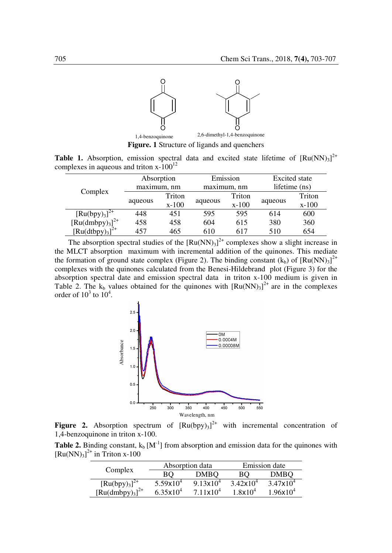

**Figure. 1** Structure of ligands and quenchers

**Table 1.** Absorption, emission spectral data and excited state lifetime of  $[Ru(NN)<sub>3</sub>]^{2+}$ complexes in aqueous and triton  $x-100^{12}$ 

| Complex                                                   | Absorption  |         | Emission    |         | <b>Excited</b> state |         |
|-----------------------------------------------------------|-------------|---------|-------------|---------|----------------------|---------|
|                                                           | maximum, nm |         | maximum, nm |         | lifetime (ns)        |         |
|                                                           | aqueous     | Triton  | aqueous     | Triton  | aqueous              | Triton  |
|                                                           |             | $x-100$ |             | $x-100$ |                      | $x-100$ |
| $[Ru(bpy)3]2+$<br>[Ru(dmbpy) <sub>3</sub> ] <sup>2+</sup> | 448         | 451     | 595         | 595     | 614                  | 600     |
|                                                           | 458         | 458     | 604         | 615     | 380                  | 360     |
| $\left[\text{Ru(dtbpy)}_{3}\right]^{2+}$                  | 457         | 465     | 610         | 617     | 510                  | 654     |

The absorption spectral studies of the  $[Ru(NN)_3]^{2+}$  complexes show a slight increase in the MLCT absorption maximum with incremental addition of the quinones. This mediate the formation of ground state complex (Figure 2). The binding constant  $(k_b)$  of  $[Ru(NN)<sub>3</sub>]^{2+}$ complexes with the quinones calculated from the Benesi-Hildebrand plot (Figure 3) for the absorption spectral date and emission spectral data in triton x-100 medium is given in Table 2. The  $k_b$  values obtained for the quinones with  $[Ru(NN)_3]^{2+}$  are in the complexes order of  $10^3$  to  $10^4$ .



**Figure 2.** Absorption spectrum of  $[Ru(bpy)_3]^2$  with incremental concentration of 1,4-benzoquinone in triton x-100.

**Table 2.** Binding constant,  $k_b$   $[M^{-1}]$  from absorption and emission data for the quinones with  $[Ru(NN)<sub>3</sub>]$ <sup>2+</sup> in Triton x-100

|                                          |                      | Absorption data    | Emission date |                               |  |
|------------------------------------------|----------------------|--------------------|---------------|-------------------------------|--|
| Complex                                  | BО                   | DMBO               | BО            | <b>DMBO</b>                   |  |
| $[Ru(bpy)3]2+$                           | $5.59x10^{4}$        | $9.13x10^{4}$      | $3.42x10^{4}$ | $3.47x10^{4}$                 |  |
| $\left[\text{Ru(dmbpy)}_{3}\right]^{2+}$ | $6.35 \times 10^{4}$ | $7.11 \times 10^4$ | $1.8x10^{4}$  | 1.96 $\times$ 10 <sup>4</sup> |  |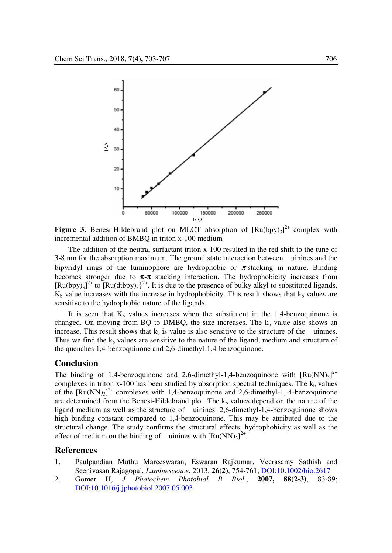

**Figure 3.** Benesi-Hildebrand plot on MLCT absorption of  $[Ru(bpy)_3]^2$  complex with incremental addition of BMBQ in triton x-100 medium

 The addition of the neutral surfactant triton x-100 resulted in the red shift to the tune of 3-8 nm for the absorption maximum. The ground state interaction between uinines and the bipyridyl rings of the luminophore are hydrophobic or  $\pi$ -stacking in nature. Binding becomes stronger due to  $\pi$ - $\pi$  stacking interaction. The hydrophobicity increases from  $[Ru(bpy)_3]^2$ <sup>+</sup> to  $[Ru(dtbpy)_3]^2$ <sup>+</sup>. It is due to the presence of bulky alkyl to substituted ligands.  $K_b$  value increases with the increase in hydrophobicity. This result shows that  $k_b$  values are sensitive to the hydrophobic nature of the ligands.

It is seen that  $K_b$  values increases when the substituent in the 1,4-benzoquinone is changed. On moving from BQ to DMBQ, the size increases. The  $k_b$  value also shows an increase. This result shows that  $k_b$  is value is also sensitive to the structure of the uinines. Thus we find the  $k_b$  values are sensitive to the nature of the ligand, medium and structure of the quenches 1,4-benzoquinone and 2,6-dimethyl-1,4-benzoquinone.

## **Conclusion**

The binding of 1,4-benzoquinone and 2,6-dimethyl-1,4-benzoquinone with  $[Ru(NN)<sub>3</sub>]^{2+}$ complexes in triton  $x-100$  has been studied by absorption spectral techniques. The  $k_b$  values of the  $[Ru(NN)<sub>3</sub>]<sup>2+</sup>$  complexes with 1,4-benzoquinone and 2,6-dimethyl-1, 4-benzoquinone are determined from the Benesi-Hildebrand plot. The  $k_b$  values depend on the nature of the ligand medium as well as the structure of uinines. 2,6-dimethyl-1,4-benzoquinone shows high binding constant compared to 1,4-benzoquinone. This may be attributed due to the structural change. The study confirms the structural effects, hydrophobicity as well as the effect of medium on the binding of uinines with  $\text{[Ru(NN)}_3\text{]}^{2+}$ .

## **References**

- 1. Paulpandian Muthu Mareeswaran, Eswaran Rajkumar, Veerasamy Sathish and Seenivasan Rajagopal, *Luminescence*, 2013, **26(2)**, 754-761; DOI:10.1002/bio.2617
- 2. Gomer H, *J Photochem Photobiol B Biol*., **2007, 88(2-3)**, 83-89; DOI:10.1016/j.jphotobiol.2007.05.003